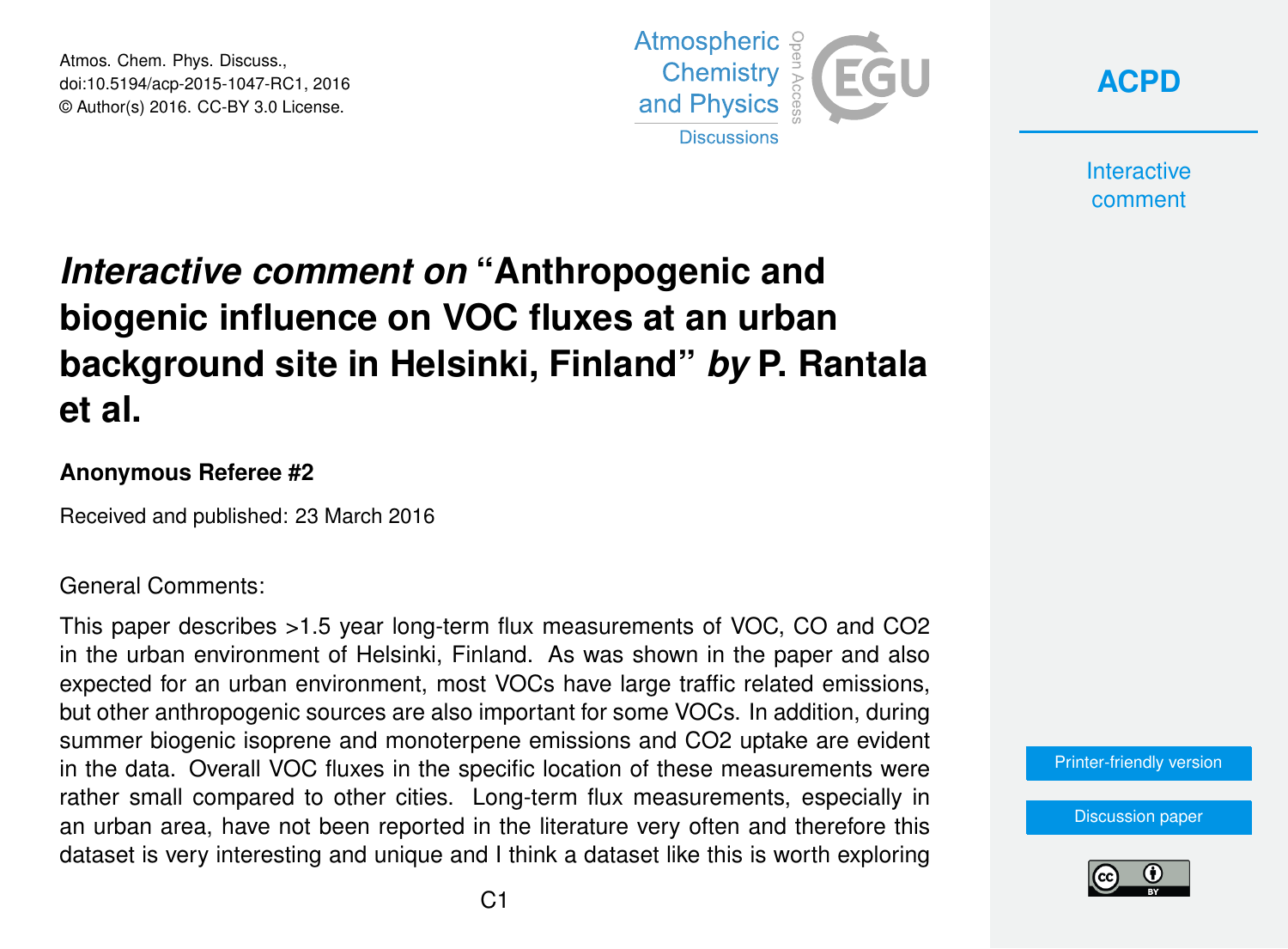Atmos. Chem. Phys. Discuss., doi:10.5194/acp-2015-1047-RC1, 2016 © Author(s) 2016. CC-BY 3.0 License.



**[ACPD](http://www.atmos-chem-phys-discuss.net/)**

**Interactive** comment

# *Interactive comment on* **"Anthropogenic and biogenic influence on VOC fluxes at an urban background site in Helsinki, Finland"** *by* **P. Rantala et al.**

#### **Anonymous Referee #2**

Received and published: 23 March 2016

#### General Comments:

This paper describes >1.5 year long-term flux measurements of VOC, CO and CO2 in the urban environment of Helsinki, Finland. As was shown in the paper and also expected for an urban environment, most VOCs have large traffic related emissions, but other anthropogenic sources are also important for some VOCs. In addition, during summer biogenic isoprene and monoterpene emissions and CO2 uptake are evident in the data. Overall VOC fluxes in the specific location of these measurements were rather small compared to other cities. Long-term flux measurements, especially in an urban area, have not been reported in the literature very often and therefore this dataset is very interesting and unique and I think a dataset like this is worth exploring

[Printer-friendly version](http://www.atmos-chem-phys-discuss.net/acp-2015-1047/acp-2015-1047-RC1-print.pdf)

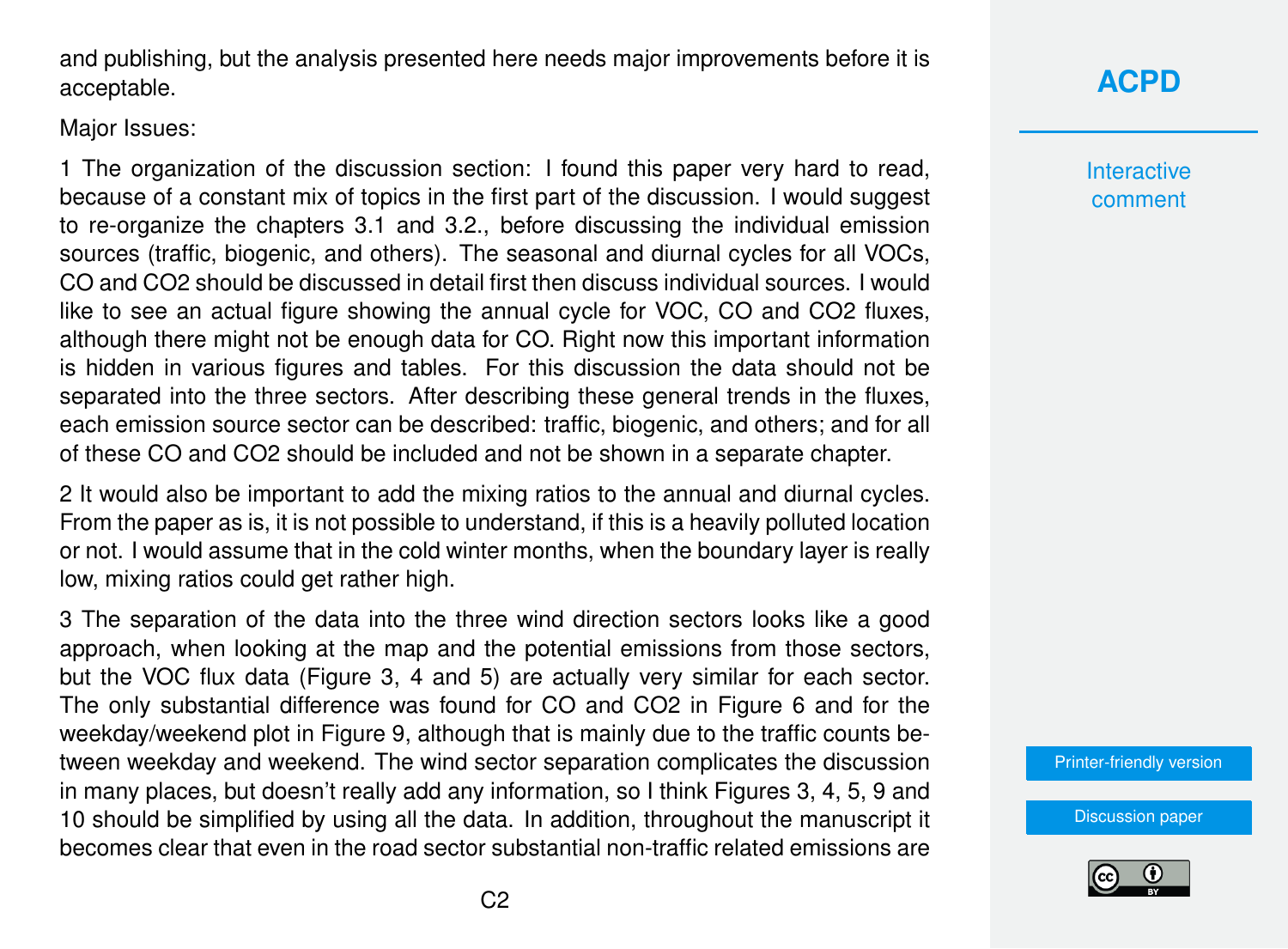and publishing, but the analysis presented here needs major improvements before it is acceptable.

Major Issues:

1 The organization of the discussion section: I found this paper very hard to read, because of a constant mix of topics in the first part of the discussion. I would suggest to re-organize the chapters 3.1 and 3.2., before discussing the individual emission sources (traffic, biogenic, and others). The seasonal and diurnal cycles for all VOCs, CO and CO2 should be discussed in detail first then discuss individual sources. I would like to see an actual figure showing the annual cycle for VOC, CO and CO2 fluxes, although there might not be enough data for CO. Right now this important information is hidden in various figures and tables. For this discussion the data should not be separated into the three sectors. After describing these general trends in the fluxes, each emission source sector can be described: traffic, biogenic, and others; and for all of these CO and CO2 should be included and not be shown in a separate chapter.

2 It would also be important to add the mixing ratios to the annual and diurnal cycles. From the paper as is, it is not possible to understand, if this is a heavily polluted location or not. I would assume that in the cold winter months, when the boundary layer is really low, mixing ratios could get rather high.

3 The separation of the data into the three wind direction sectors looks like a good approach, when looking at the map and the potential emissions from those sectors, but the VOC flux data (Figure 3, 4 and 5) are actually very similar for each sector. The only substantial difference was found for CO and CO2 in Figure 6 and for the weekday/weekend plot in Figure 9, although that is mainly due to the traffic counts between weekday and weekend. The wind sector separation complicates the discussion in many places, but doesn't really add any information, so I think Figures 3, 4, 5, 9 and 10 should be simplified by using all the data. In addition, throughout the manuscript it becomes clear that even in the road sector substantial non-traffic related emissions are

## **[ACPD](http://www.atmos-chem-phys-discuss.net/)**

**Interactive** comment

[Printer-friendly version](http://www.atmos-chem-phys-discuss.net/acp-2015-1047/acp-2015-1047-RC1-print.pdf)

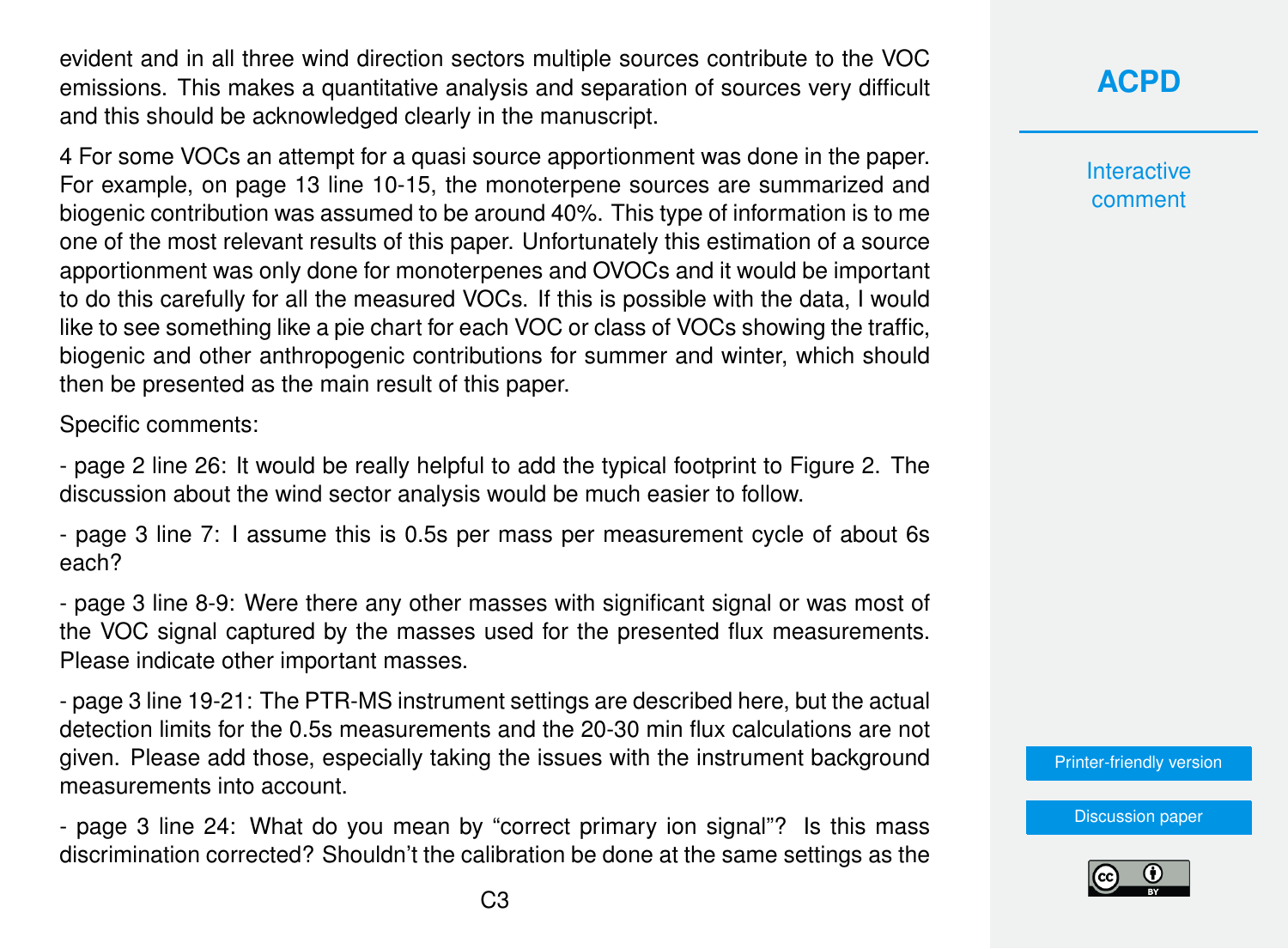evident and in all three wind direction sectors multiple sources contribute to the VOC emissions. This makes a quantitative analysis and separation of sources very difficult and this should be acknowledged clearly in the manuscript.

4 For some VOCs an attempt for a quasi source apportionment was done in the paper. For example, on page 13 line 10-15, the monoterpene sources are summarized and biogenic contribution was assumed to be around 40%. This type of information is to me one of the most relevant results of this paper. Unfortunately this estimation of a source apportionment was only done for monoterpenes and OVOCs and it would be important to do this carefully for all the measured VOCs. If this is possible with the data, I would like to see something like a pie chart for each VOC or class of VOCs showing the traffic, biogenic and other anthropogenic contributions for summer and winter, which should then be presented as the main result of this paper.

Specific comments:

- page 2 line 26: It would be really helpful to add the typical footprint to Figure 2. The discussion about the wind sector analysis would be much easier to follow.

- page 3 line 7: I assume this is 0.5s per mass per measurement cycle of about 6s each?

- page 3 line 8-9: Were there any other masses with significant signal or was most of the VOC signal captured by the masses used for the presented flux measurements. Please indicate other important masses.

- page 3 line 19-21: The PTR-MS instrument settings are described here, but the actual detection limits for the 0.5s measurements and the 20-30 min flux calculations are not given. Please add those, especially taking the issues with the instrument background measurements into account.

- page 3 line 24: What do you mean by "correct primary ion signal"? Is this mass discrimination corrected? Shouldn't the calibration be done at the same settings as the **[ACPD](http://www.atmos-chem-phys-discuss.net/)**

**Interactive** comment

[Printer-friendly version](http://www.atmos-chem-phys-discuss.net/acp-2015-1047/acp-2015-1047-RC1-print.pdf)

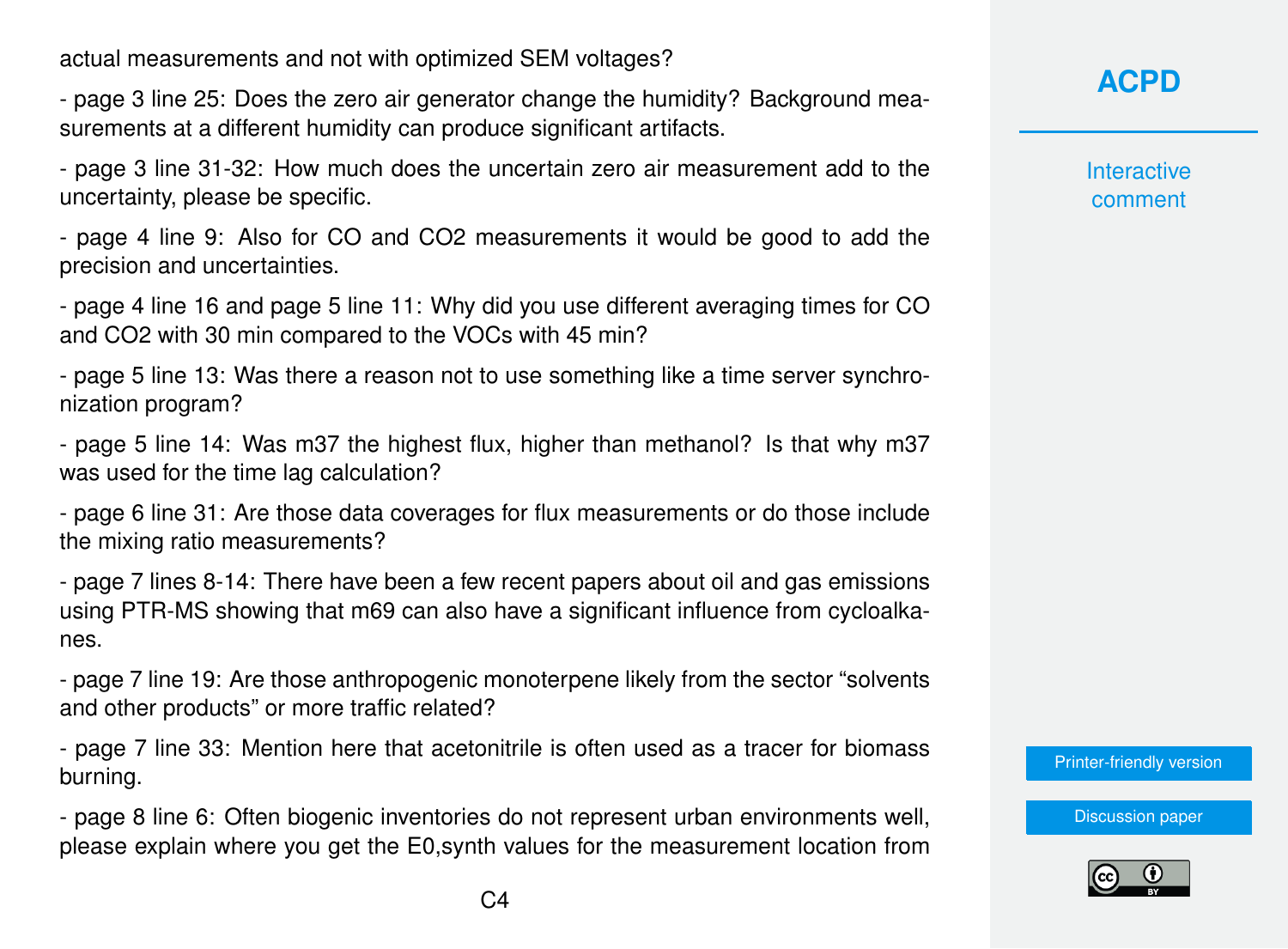actual measurements and not with optimized SEM voltages?

- page 3 line 25: Does the zero air generator change the humidity? Background measurements at a different humidity can produce significant artifacts.

- page 3 line 31-32: How much does the uncertain zero air measurement add to the uncertainty, please be specific.

- page 4 line 9: Also for CO and CO2 measurements it would be good to add the precision and uncertainties.

- page 4 line 16 and page 5 line 11: Why did you use different averaging times for CO and CO2 with 30 min compared to the VOCs with 45 min?

- page 5 line 13: Was there a reason not to use something like a time server synchronization program?

- page 5 line 14: Was m37 the highest flux, higher than methanol? Is that why m37 was used for the time lag calculation?

- page 6 line 31: Are those data coverages for flux measurements or do those include the mixing ratio measurements?

- page 7 lines 8-14: There have been a few recent papers about oil and gas emissions using PTR-MS showing that m69 can also have a significant influence from cycloalkanes.

- page 7 line 19: Are those anthropogenic monoterpene likely from the sector "solvents and other products" or more traffic related?

- page 7 line 33: Mention here that acetonitrile is often used as a tracer for biomass burning.

- page 8 line 6: Often biogenic inventories do not represent urban environments well, please explain where you get the E0,synth values for the measurement location from

### **[ACPD](http://www.atmos-chem-phys-discuss.net/)**

**Interactive** comment

[Printer-friendly version](http://www.atmos-chem-phys-discuss.net/acp-2015-1047/acp-2015-1047-RC1-print.pdf)

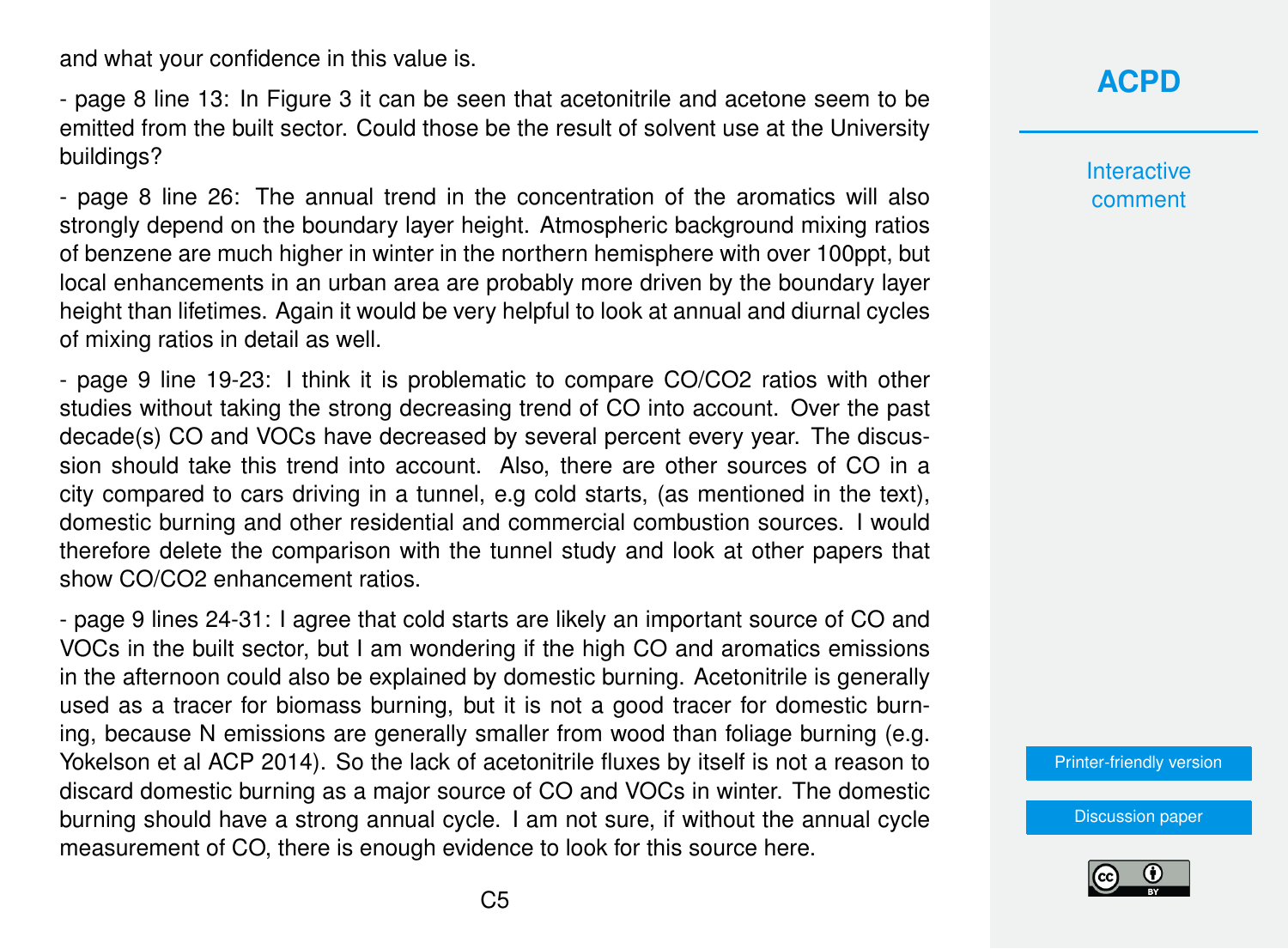and what your confidence in this value is.

- page 8 line 13: In Figure 3 it can be seen that acetonitrile and acetone seem to be emitted from the built sector. Could those be the result of solvent use at the University buildings?

- page 8 line 26: The annual trend in the concentration of the aromatics will also strongly depend on the boundary layer height. Atmospheric background mixing ratios of benzene are much higher in winter in the northern hemisphere with over 100ppt, but local enhancements in an urban area are probably more driven by the boundary layer height than lifetimes. Again it would be very helpful to look at annual and diurnal cycles of mixing ratios in detail as well.

- page 9 line 19-23: I think it is problematic to compare CO/CO2 ratios with other studies without taking the strong decreasing trend of CO into account. Over the past decade(s) CO and VOCs have decreased by several percent every year. The discussion should take this trend into account. Also, there are other sources of CO in a city compared to cars driving in a tunnel, e.g cold starts, (as mentioned in the text), domestic burning and other residential and commercial combustion sources. I would therefore delete the comparison with the tunnel study and look at other papers that show CO/CO2 enhancement ratios.

- page 9 lines 24-31: I agree that cold starts are likely an important source of CO and VOCs in the built sector, but I am wondering if the high CO and aromatics emissions in the afternoon could also be explained by domestic burning. Acetonitrile is generally used as a tracer for biomass burning, but it is not a good tracer for domestic burning, because N emissions are generally smaller from wood than foliage burning (e.g. Yokelson et al ACP 2014). So the lack of acetonitrile fluxes by itself is not a reason to discard domestic burning as a major source of CO and VOCs in winter. The domestic burning should have a strong annual cycle. I am not sure, if without the annual cycle measurement of CO, there is enough evidence to look for this source here.



**Interactive** comment

[Printer-friendly version](http://www.atmos-chem-phys-discuss.net/acp-2015-1047/acp-2015-1047-RC1-print.pdf)

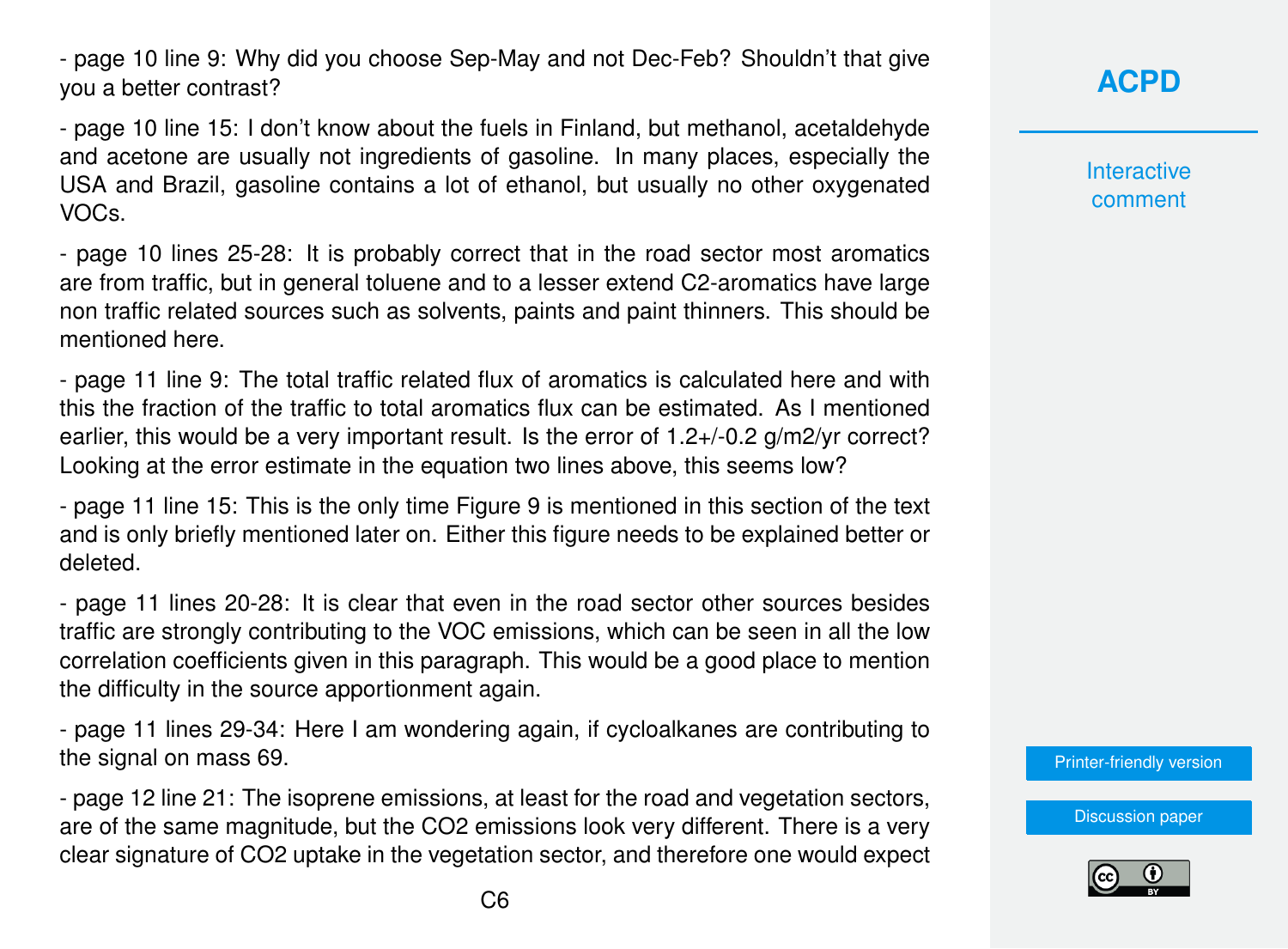- page 10 line 9: Why did you choose Sep-May and not Dec-Feb? Shouldn't that give you a better contrast?

- page 10 line 15: I don't know about the fuels in Finland, but methanol, acetaldehyde and acetone are usually not ingredients of gasoline. In many places, especially the USA and Brazil, gasoline contains a lot of ethanol, but usually no other oxygenated VOCs.

- page 10 lines 25-28: It is probably correct that in the road sector most aromatics are from traffic, but in general toluene and to a lesser extend C2-aromatics have large non traffic related sources such as solvents, paints and paint thinners. This should be mentioned here.

- page 11 line 9: The total traffic related flux of aromatics is calculated here and with this the fraction of the traffic to total aromatics flux can be estimated. As I mentioned earlier, this would be a very important result. Is the error of 1.2+/-0.2 g/m2/yr correct? Looking at the error estimate in the equation two lines above, this seems low?

- page 11 line 15: This is the only time Figure 9 is mentioned in this section of the text and is only briefly mentioned later on. Either this figure needs to be explained better or deleted.

- page 11 lines 20-28: It is clear that even in the road sector other sources besides traffic are strongly contributing to the VOC emissions, which can be seen in all the low correlation coefficients given in this paragraph. This would be a good place to mention the difficulty in the source apportionment again.

- page 11 lines 29-34: Here I am wondering again, if cycloalkanes are contributing to the signal on mass 69.

- page 12 line 21: The isoprene emissions, at least for the road and vegetation sectors, are of the same magnitude, but the CO2 emissions look very different. There is a very clear signature of CO2 uptake in the vegetation sector, and therefore one would expect **Interactive** comment

[Printer-friendly version](http://www.atmos-chem-phys-discuss.net/acp-2015-1047/acp-2015-1047-RC1-print.pdf)